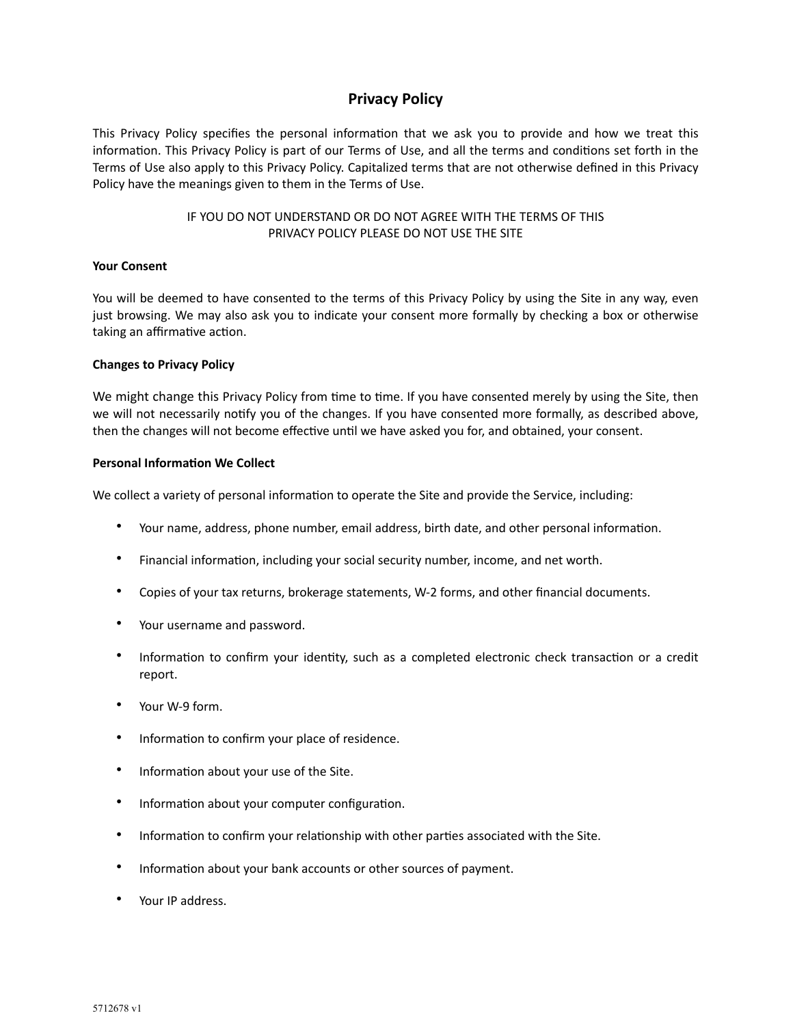# **Privacy Policy**

This Privacy Policy specifies the personal information that we ask you to provide and how we treat this information. This Privacy Policy is part of our Terms of Use, and all the terms and conditions set forth in the Terms of Use also apply to this Privacy Policy. Capitalized terms that are not otherwise defined in this Privacy Policy have the meanings given to them in the Terms of Use.

> IF YOU DO NOT UNDERSTAND OR DO NOT AGREE WITH THE TERMS OF THIS PRIVACY POLICY PLEASE DO NOT USE THE SITE

# **Your Consent**

You will be deemed to have consented to the terms of this Privacy Policy by using the Site in any way, even just browsing. We may also ask you to indicate your consent more formally by checking a box or otherwise taking an affirmative action.

# **Changes to Privacy Policy**

We might change this Privacy Policy from time to time. If you have consented merely by using the Site, then we will not necessarily notify you of the changes. If you have consented more formally, as described above, then the changes will not become effective until we have asked you for, and obtained, your consent.

# **Personal Information We Collect**

We collect a variety of personal information to operate the Site and provide the Service, including:

- Your name, address, phone number, email address, birth date, and other personal information.
- Financial information, including your social security number, income, and net worth.
- Copies of your tax returns, brokerage statements, W-2 forms, and other financial documents.
- Your username and password.
- Information to confirm your identity, such as a completed electronic check transaction or a credit report.
- Your W-9 form.
- Information to confirm your place of residence.
- Information about your use of the Site.
- Information about your computer configuration.
- Information to confirm your relationship with other parties associated with the Site.
- Information about your bank accounts or other sources of payment.
- Your IP address.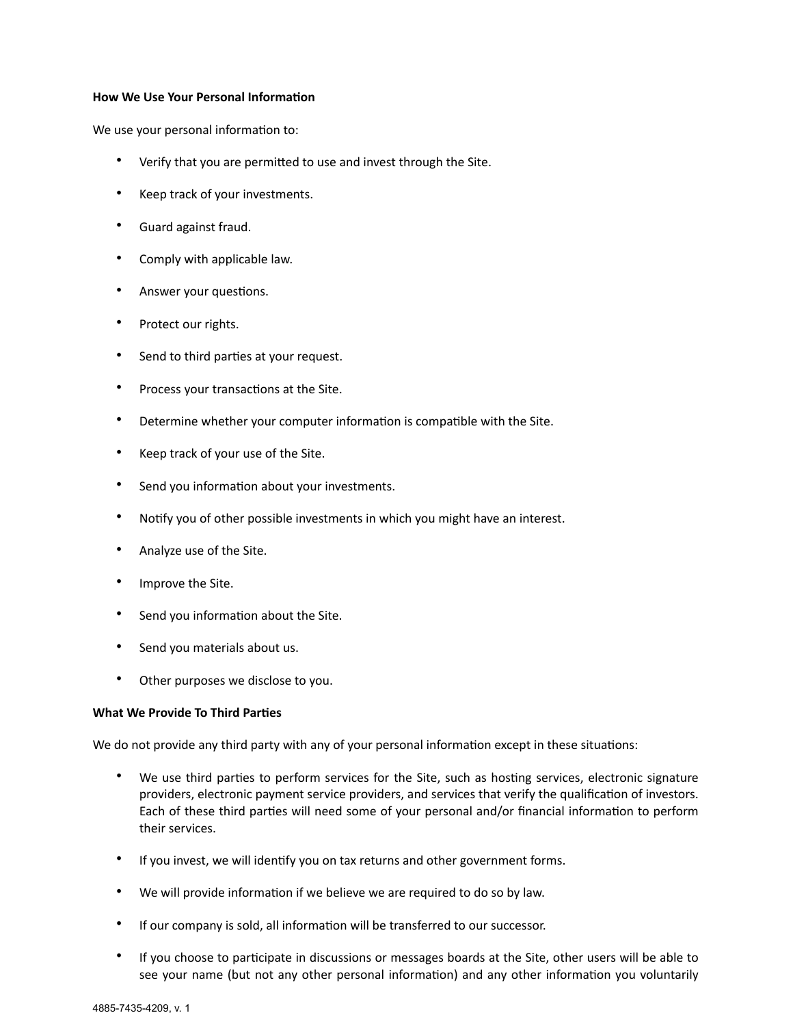#### **How We Use Your Personal Information**

We use your personal information to:

- Verify that you are permitted to use and invest through the Site.
- Keep track of your investments.
- Guard against fraud.
- Comply with applicable law.
- Answer your questions.
- Protect our rights.
- Send to third parties at your request.
- Process your transactions at the Site.
- Determine whether your computer information is compatible with the Site.
- Keep track of your use of the Site.
- Send you information about your investments.
- Notify you of other possible investments in which you might have an interest.
- Analyze use of the Site.
- Improve the Site.
- Send you information about the Site.
- Send you materials about us.
- Other purposes we disclose to you.

# **What We Provide To Third Parties**

We do not provide any third party with any of your personal information except in these situations:

- We use third parties to perform services for the Site, such as hosting services, electronic signature providers, electronic payment service providers, and services that verify the qualification of investors. Each of these third parties will need some of your personal and/or financial information to perform their services.
- If you invest, we will identify you on tax returns and other government forms.
- We will provide information if we believe we are required to do so by law.
- If our company is sold, all information will be transferred to our successor.
- If you choose to participate in discussions or messages boards at the Site, other users will be able to see your name (but not any other personal information) and any other information you voluntarily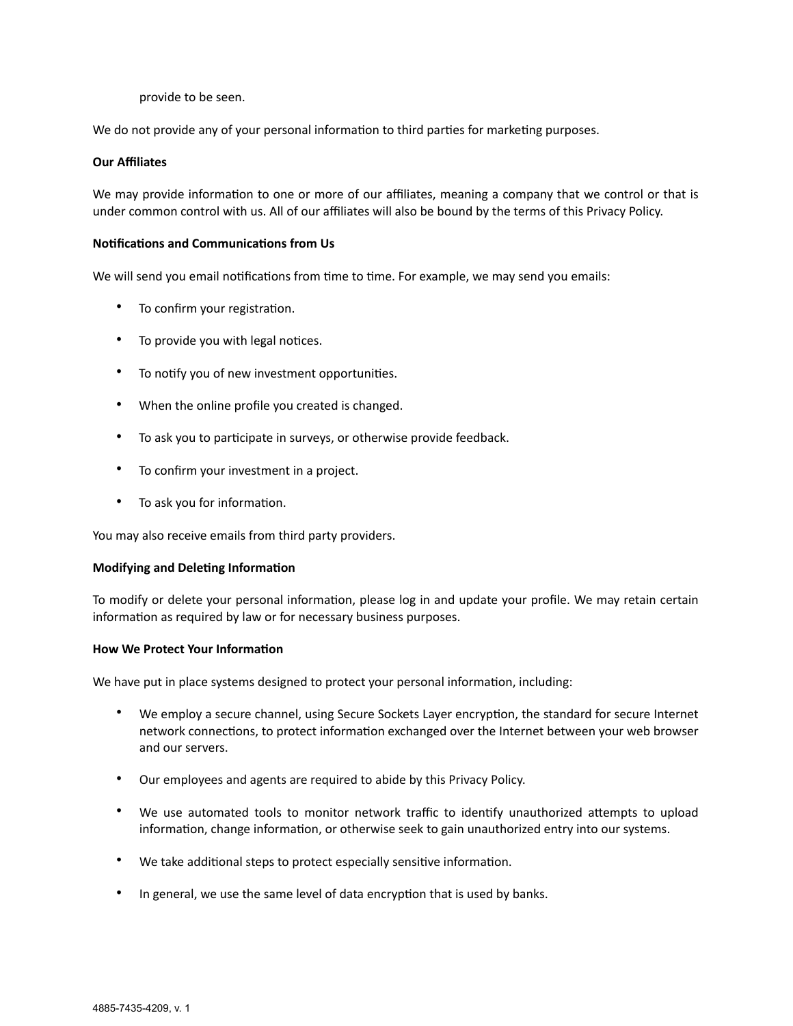provide to be seen.

We do not provide any of your personal information to third parties for marketing purposes.

#### **Our Affiliates**

We may provide information to one or more of our affiliates, meaning a company that we control or that is under common control with us. All of our affiliates will also be bound by the terms of this Privacy Policy.

# **Notifications and Communications from Us**

We will send you email notifications from time to time. For example, we may send you emails:

- To confirm your registration.
- To provide you with legal notices.
- To notify you of new investment opportunities.
- When the online profile you created is changed.
- To ask you to participate in surveys, or otherwise provide feedback.
- To confirm your investment in a project.
- To ask you for information.

You may also receive emails from third party providers.

#### **Modifying and Deleting Information**

To modify or delete your personal information, please log in and update your profile. We may retain certain information as required by law or for necessary business purposes.

#### **How We Protect Your Information**

We have put in place systems designed to protect your personal information, including:

- We employ a secure channel, using Secure Sockets Layer encryption, the standard for secure Internet network connections, to protect information exchanged over the Internet between your web browser and our servers.
- Our employees and agents are required to abide by this Privacy Policy.
- We use automated tools to monitor network traffic to identify unauthorized attempts to upload information, change information, or otherwise seek to gain unauthorized entry into our systems.
- We take additional steps to protect especially sensitive information.
- In general, we use the same level of data encryption that is used by banks.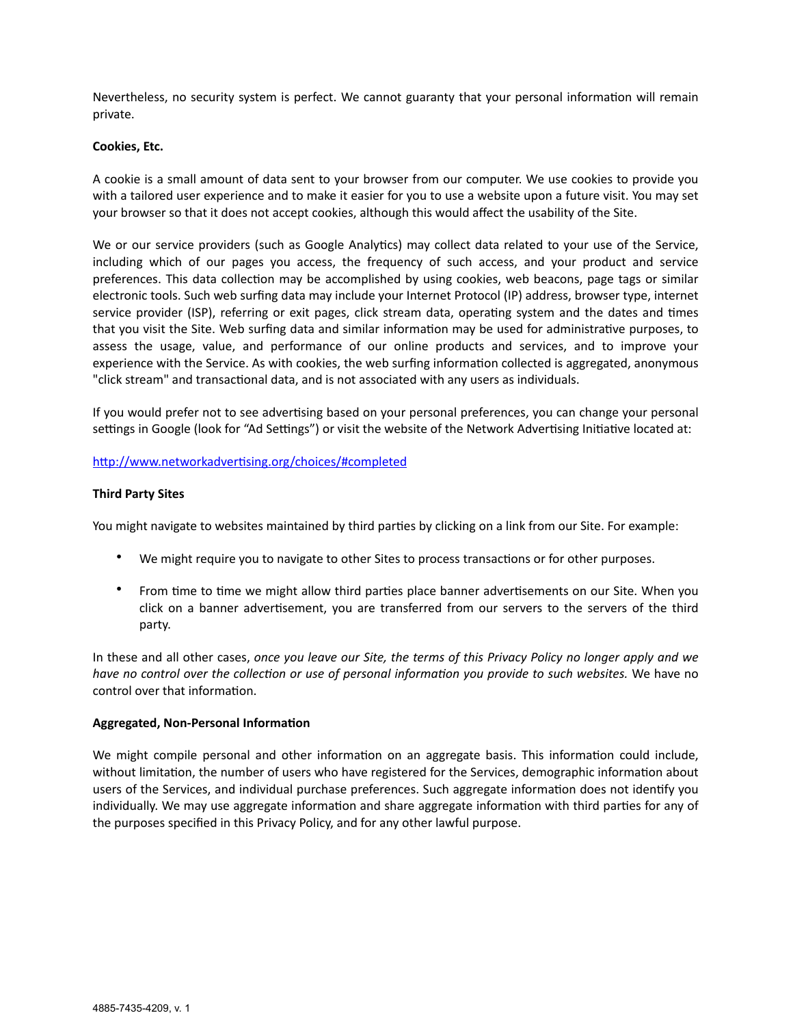Nevertheless, no security system is perfect. We cannot guaranty that your personal information will remain private.

#### **Cookies, Etc.**

A cookie is a small amount of data sent to your browser from our computer. We use cookies to provide you with a tailored user experience and to make it easier for you to use a website upon a future visit. You may set your browser so that it does not accept cookies, although this would affect the usability of the Site.

We or our service providers (such as Google Analytics) may collect data related to your use of the Service, including which of our pages you access, the frequency of such access, and your product and service preferences. This data collection may be accomplished by using cookies, web beacons, page tags or similar electronic tools. Such web surfing data may include your Internet Protocol (IP) address, browser type, internet service provider (ISP), referring or exit pages, click stream data, operating system and the dates and times that you visit the Site. Web surfing data and similar information may be used for administrative purposes, to assess the usage, value, and performance of our online products and services, and to improve your experience with the Service. As with cookies, the web surfing information collected is aggregated, anonymous "click stream" and transactional data, and is not associated with any users as individuals.

If you would prefer not to see advertising based on your personal preferences, you can change your personal settings in Google (look for "Ad Settings") or visit the website of the Network Advertising Initiative located at:

# <http://www.networkadvertising.org/choices/#completed>

# **Third Party Sites**

You might navigate to websites maintained by third parties by clicking on a link from our Site. For example:

- We might require you to navigate to other Sites to process transactions or for other purposes.
- From time to time we might allow third parties place banner advertisements on our Site. When you click on a banner advertisement, you are transferred from our servers to the servers of the third party.

In these and all other cases, *once you leave our Site, the terms of this Privacy Policy no longer apply and we have no control over the collection or use of personal information you provide to such websites.* We have no control over that information.

#### **Aggregated, Non-Personal Information**

We might compile personal and other information on an aggregate basis. This information could include, without limitation, the number of users who have registered for the Services, demographic information about users of the Services, and individual purchase preferences. Such aggregate information does not identify you individually. We may use aggregate information and share aggregate information with third parties for any of the purposes specified in this Privacy Policy, and for any other lawful purpose.